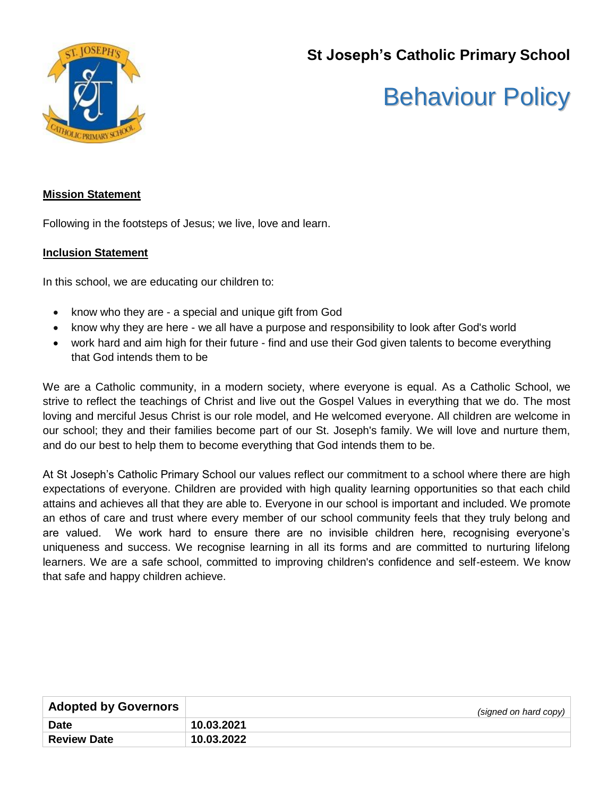**St Joseph's Catholic Primary School**



# Behaviour Policy

# **Mission Statement**

Following in the footsteps of Jesus; we live, love and learn.

# **Inclusion Statement**

In this school, we are educating our children to:

- know who they are a special and unique gift from God
- know why they are here we all have a purpose and responsibility to look after God's world
- work hard and aim high for their future find and use their God given talents to become everything that God intends them to be

We are a Catholic community, in a modern society, where everyone is equal. As a Catholic School, we strive to reflect the teachings of Christ and live out the Gospel Values in everything that we do. The most loving and merciful Jesus Christ is our role model, and He welcomed everyone. All children are welcome in our school; they and their families become part of our St. Joseph's family. We will love and nurture them, and do our best to help them to become everything that God intends them to be.

At St Joseph's Catholic Primary School our values reflect our commitment to a school where there are high expectations of everyone. Children are provided with high quality learning opportunities so that each child attains and achieves all that they are able to. Everyone in our school is important and included. We promote an ethos of care and trust where every member of our school community feels that they truly belong and are valued. We work hard to ensure there are no invisible children here, recognising everyone's uniqueness and success. We recognise learning in all its forms and are committed to nurturing lifelong learners. We are a safe school, committed to improving children's confidence and self-esteem. We know that safe and happy children achieve.

| <b>Adopted by Governors</b> | (signed on hard copy) |
|-----------------------------|-----------------------|
| <b>Date</b>                 | 10.03.2021            |
| <b>Review Date</b>          | 10.03.2022            |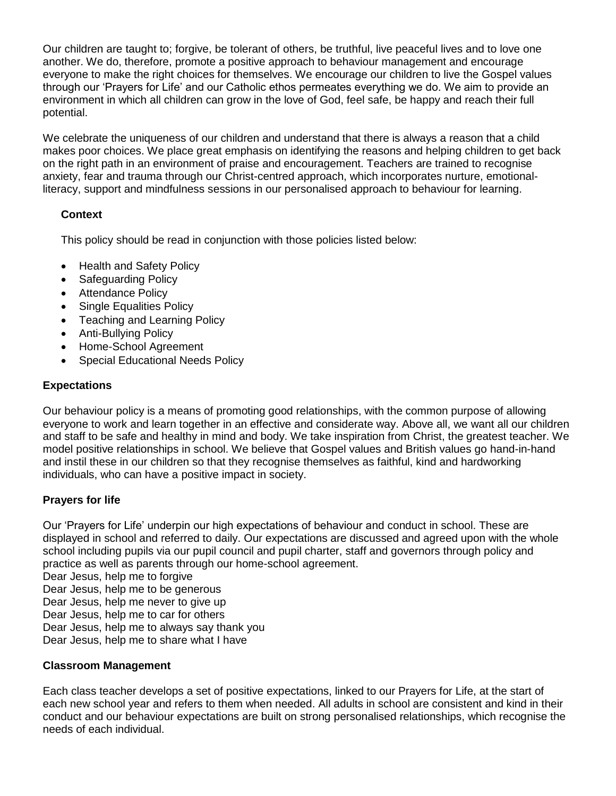Our children are taught to; forgive, be tolerant of others, be truthful, live peaceful lives and to love one another. We do, therefore, promote a positive approach to behaviour management and encourage everyone to make the right choices for themselves. We encourage our children to live the Gospel values through our 'Prayers for Life' and our Catholic ethos permeates everything we do. We aim to provide an environment in which all children can grow in the love of God, feel safe, be happy and reach their full potential.

We celebrate the uniqueness of our children and understand that there is always a reason that a child makes poor choices. We place great emphasis on identifying the reasons and helping children to get back on the right path in an environment of praise and encouragement. Teachers are trained to recognise anxiety, fear and trauma through our Christ-centred approach, which incorporates nurture, emotionalliteracy, support and mindfulness sessions in our personalised approach to behaviour for learning.

# **Context**

This policy should be read in conjunction with those policies listed below:

- Health and Safety Policy
- Safeguarding Policy
- Attendance Policy
- Single Equalities Policy
- Teaching and Learning Policy
- Anti-Bullying Policy
- Home-School Agreement
- Special Educational Needs Policy

# **Expectations**

Our behaviour policy is a means of promoting good relationships, with the common purpose of allowing everyone to work and learn together in an effective and considerate way. Above all, we want all our children and staff to be safe and healthy in mind and body. We take inspiration from Christ, the greatest teacher. We model positive relationships in school. We believe that Gospel values and British values go hand-in-hand and instil these in our children so that they recognise themselves as faithful, kind and hardworking individuals, who can have a positive impact in society.

# **Prayers for life**

Our 'Prayers for Life' underpin our high expectations of behaviour and conduct in school. These are displayed in school and referred to daily. Our expectations are discussed and agreed upon with the whole school including pupils via our pupil council and pupil charter, staff and governors through policy and practice as well as parents through our home-school agreement.

Dear Jesus, help me to forgive

Dear Jesus, help me to be generous

Dear Jesus, help me never to give up

Dear Jesus, help me to car for others

Dear Jesus, help me to always say thank you

Dear Jesus, help me to share what I have

# **Classroom Management**

Each class teacher develops a set of positive expectations, linked to our Prayers for Life, at the start of each new school year and refers to them when needed. All adults in school are consistent and kind in their conduct and our behaviour expectations are built on strong personalised relationships, which recognise the needs of each individual.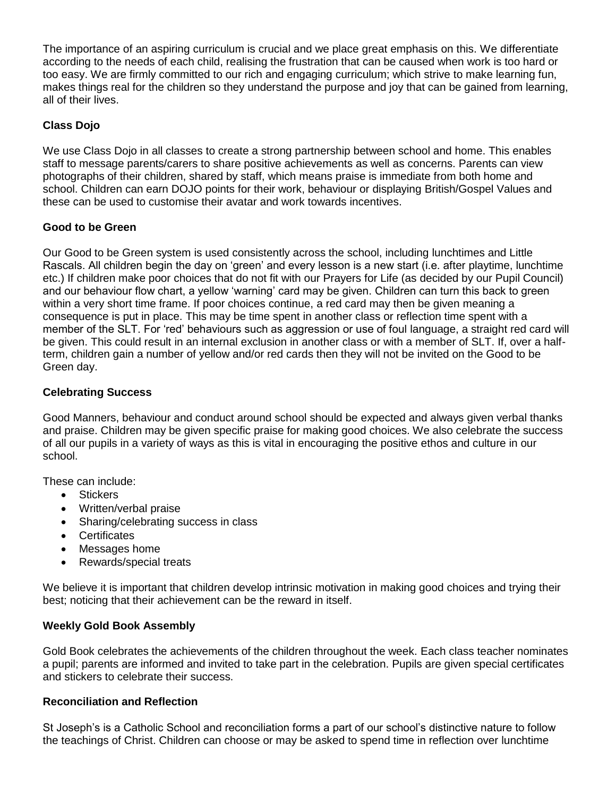The importance of an aspiring curriculum is crucial and we place great emphasis on this. We differentiate according to the needs of each child, realising the frustration that can be caused when work is too hard or too easy. We are firmly committed to our rich and engaging curriculum; which strive to make learning fun, makes things real for the children so they understand the purpose and joy that can be gained from learning, all of their lives.

# **Class Dojo**

We use Class Dojo in all classes to create a strong partnership between school and home. This enables staff to message parents/carers to share positive achievements as well as concerns. Parents can view photographs of their children, shared by staff, which means praise is immediate from both home and school. Children can earn DOJO points for their work, behaviour or displaying British/Gospel Values and these can be used to customise their avatar and work towards incentives.

# **Good to be Green**

Our Good to be Green system is used consistently across the school, including lunchtimes and Little Rascals. All children begin the day on 'green' and every lesson is a new start (i.e. after playtime, lunchtime etc.) If children make poor choices that do not fit with our Prayers for Life (as decided by our Pupil Council) and our behaviour flow chart, a yellow 'warning' card may be given. Children can turn this back to green within a very short time frame. If poor choices continue, a red card may then be given meaning a consequence is put in place. This may be time spent in another class or reflection time spent with a member of the SLT. For 'red' behaviours such as aggression or use of foul language, a straight red card will be given. This could result in an internal exclusion in another class or with a member of SLT. If, over a halfterm, children gain a number of yellow and/or red cards then they will not be invited on the Good to be Green day.

# **Celebrating Success**

Good Manners, behaviour and conduct around school should be expected and always given verbal thanks and praise. Children may be given specific praise for making good choices. We also celebrate the success of all our pupils in a variety of ways as this is vital in encouraging the positive ethos and culture in our school.

These can include:

- Stickers
- Written/verbal praise
- Sharing/celebrating success in class
- Certificates
- Messages home
- Rewards/special treats

We believe it is important that children develop intrinsic motivation in making good choices and trying their best; noticing that their achievement can be the reward in itself.

# **Weekly Gold Book Assembly**

Gold Book celebrates the achievements of the children throughout the week. Each class teacher nominates a pupil; parents are informed and invited to take part in the celebration. Pupils are given special certificates and stickers to celebrate their success.

#### **Reconciliation and Reflection**

St Joseph's is a Catholic School and reconciliation forms a part of our school's distinctive nature to follow the teachings of Christ. Children can choose or may be asked to spend time in reflection over lunchtime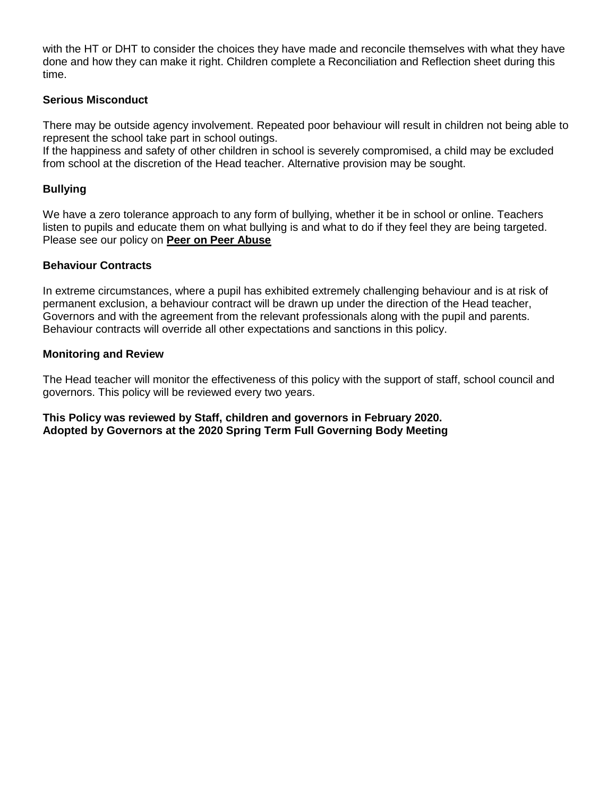with the HT or DHT to consider the choices they have made and reconcile themselves with what they have done and how they can make it right. Children complete a Reconciliation and Reflection sheet during this time.

#### **Serious Misconduct**

There may be outside agency involvement. Repeated poor behaviour will result in children not being able to represent the school take part in school outings.

If the happiness and safety of other children in school is severely compromised, a child may be excluded from school at the discretion of the Head teacher. Alternative provision may be sought.

#### **Bullying**

We have a zero tolerance approach to any form of bullying, whether it be in school or online. Teachers listen to pupils and educate them on what bullying is and what to do if they feel they are being targeted. Please see our policy on **Peer on Peer Abuse**

#### **Behaviour Contracts**

In extreme circumstances, where a pupil has exhibited extremely challenging behaviour and is at risk of permanent exclusion, a behaviour contract will be drawn up under the direction of the Head teacher, Governors and with the agreement from the relevant professionals along with the pupil and parents. Behaviour contracts will override all other expectations and sanctions in this policy.

#### **Monitoring and Review**

The Head teacher will monitor the effectiveness of this policy with the support of staff, school council and governors. This policy will be reviewed every two years.

**This Policy was reviewed by Staff, children and governors in February 2020. Adopted by Governors at the 2020 Spring Term Full Governing Body Meeting**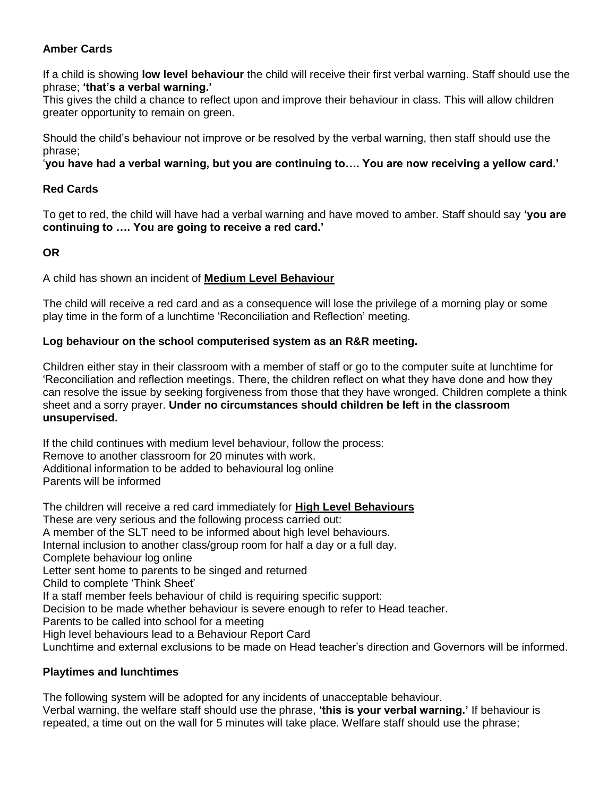# **Amber Cards**

If a child is showing **low level behaviour** the child will receive their first verbal warning. Staff should use the phrase; **'that's a verbal warning.'**

This gives the child a chance to reflect upon and improve their behaviour in class. This will allow children greater opportunity to remain on green.

Should the child's behaviour not improve or be resolved by the verbal warning, then staff should use the phrase;

'**you have had a verbal warning, but you are continuing to…. You are now receiving a yellow card.'**

# **Red Cards**

To get to red, the child will have had a verbal warning and have moved to amber. Staff should say **'you are continuing to …. You are going to receive a red card.'**

# **OR**

A child has shown an incident of **Medium Level Behaviour**

The child will receive a red card and as a consequence will lose the privilege of a morning play or some play time in the form of a lunchtime 'Reconciliation and Reflection' meeting.

# **Log behaviour on the school computerised system as an R&R meeting.**

Children either stay in their classroom with a member of staff or go to the computer suite at lunchtime for 'Reconciliation and reflection meetings. There, the children reflect on what they have done and how they can resolve the issue by seeking forgiveness from those that they have wronged. Children complete a think sheet and a sorry prayer. **Under no circumstances should children be left in the classroom unsupervised.**

If the child continues with medium level behaviour, follow the process: Remove to another classroom for 20 minutes with work. Additional information to be added to behavioural log online Parents will be informed

The children will receive a red card immediately for **High Level Behaviours** These are very serious and the following process carried out: A member of the SLT need to be informed about high level behaviours. Internal inclusion to another class/group room for half a day or a full day. Complete behaviour log online Letter sent home to parents to be singed and returned Child to complete 'Think Sheet' If a staff member feels behaviour of child is requiring specific support: Decision to be made whether behaviour is severe enough to refer to Head teacher. Parents to be called into school for a meeting High level behaviours lead to a Behaviour Report Card Lunchtime and external exclusions to be made on Head teacher's direction and Governors will be informed.

# **Playtimes and lunchtimes**

The following system will be adopted for any incidents of unacceptable behaviour. Verbal warning, the welfare staff should use the phrase, **'this is your verbal warning.'** If behaviour is repeated, a time out on the wall for 5 minutes will take place. Welfare staff should use the phrase;